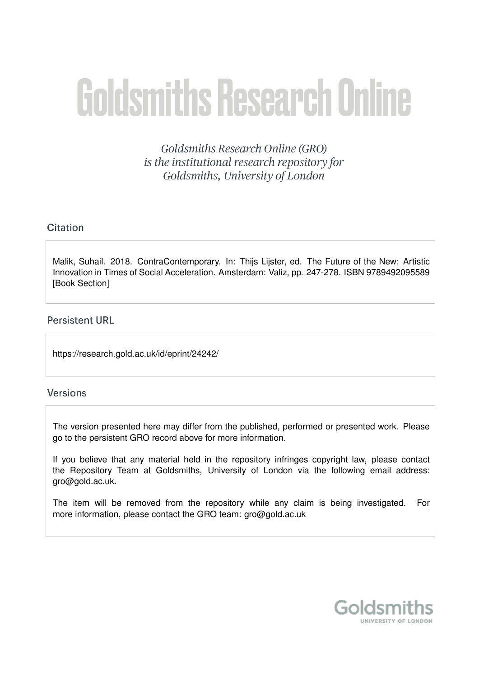# **Goldsmiths Research Online**

Goldsmiths Research Online (GRO) is the institutional research repository for Goldsmiths, University of London

# Citation

Malik, Suhail. 2018. ContraContemporary. In: Thijs Lijster, ed. The Future of the New: Artistic Innovation in Times of Social Acceleration. Amsterdam: Valiz, pp. 247-278. ISBN 9789492095589 [Book Section]

# **Persistent URL**

https://research.gold.ac.uk/id/eprint/24242/

# **Versions**

The version presented here may differ from the published, performed or presented work. Please go to the persistent GRO record above for more information.

If you believe that any material held in the repository infringes copyright law, please contact the Repository Team at Goldsmiths, University of London via the following email address: gro@gold.ac.uk.

The item will be removed from the repository while any claim is being investigated. For more information, please contact the GRO team: gro@gold.ac.uk

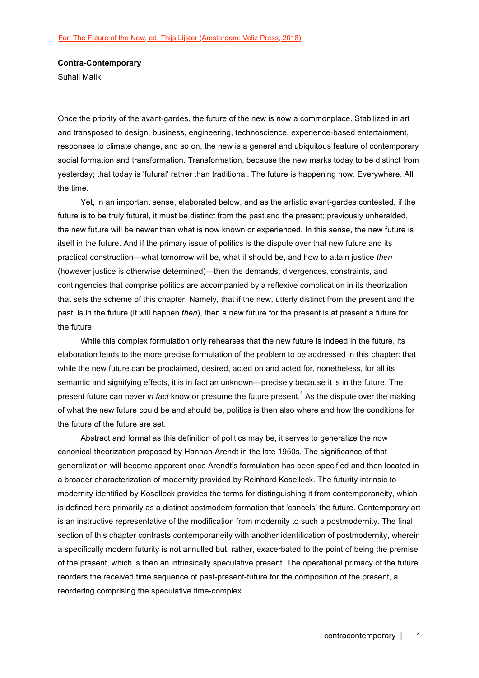### **Contra-Contemporary**

Suhail Malik

Once the priority of the avant-gardes, the future of the new is now a commonplace. Stabilized in art and transposed to design, business, engineering, technoscience, experience-based entertainment, responses to climate change, and so on, the new is a general and ubiquitous feature of contemporary social formation and transformation. Transformation, because the new marks today to be distinct from yesterday; that today is 'futural' rather than traditional. The future is happening now. Everywhere. All the time.

Yet, in an important sense, elaborated below, and as the artistic avant-gardes contested, if the future is to be truly futural, it must be distinct from the past and the present; previously unheralded, the new future will be newer than what is now known or experienced. In this sense, the new future is itself in the future. And if the primary issue of politics is the dispute over that new future and its practical construction—what tomorrow will be, what it should be, and how to attain justice *then* (however justice is otherwise determined)—then the demands, divergences, constraints, and contingencies that comprise politics are accompanied by a reflexive complication in its theorization that sets the scheme of this chapter. Namely, that if the new, utterly distinct from the present and the past, is in the future (it will happen *then*), then a new future for the present is at present a future for the future.

While this complex formulation only rehearses that the new future is indeed in the future, its elaboration leads to the more precise formulation of the problem to be addressed in this chapter: that while the new future can be proclaimed, desired, acted on and acted for, nonetheless, for all its semantic and signifying effects, it is in fact an unknown—precisely because it is in the future. The present future can never *in fact* know or presume the future present.<sup>1</sup> As the dispute over the making of what the new future could be and should be, politics is then also where and how the conditions for the future of the future are set.

Abstract and formal as this definition of politics may be, it serves to generalize the now canonical theorization proposed by Hannah Arendt in the late 1950s. The significance of that generalization will become apparent once Arendt's formulation has been specified and then located in a broader characterization of modernity provided by Reinhard Koselleck. The futurity intrinsic to modernity identified by Koselleck provides the terms for distinguishing it from contemporaneity, which is defined here primarily as a distinct postmodern formation that 'cancels' the future. Contemporary art is an instructive representative of the modification from modernity to such a postmodernity. The final section of this chapter contrasts contemporaneity with another identification of postmodernity, wherein a specifically modern futurity is not annulled but, rather, exacerbated to the point of being the premise of the present, which is then an intrinsically speculative present. The operational primacy of the future reorders the received time sequence of past-present-future for the composition of the present, a reordering comprising the speculative time-complex.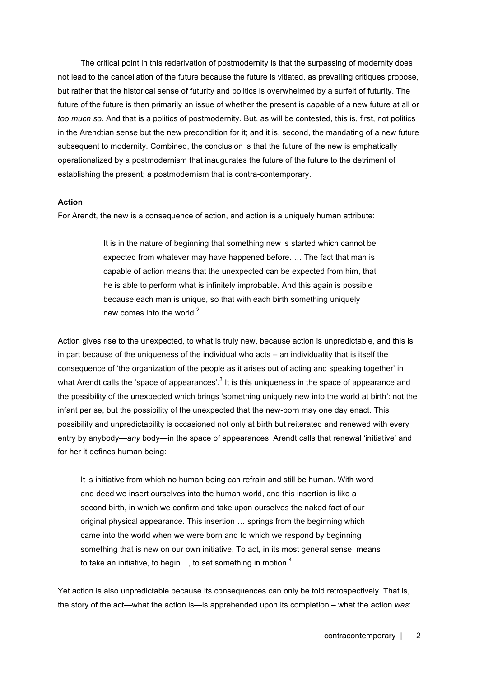The critical point in this rederivation of postmodernity is that the surpassing of modernity does not lead to the cancellation of the future because the future is vitiated, as prevailing critiques propose, but rather that the historical sense of futurity and politics is overwhelmed by a surfeit of futurity. The future of the future is then primarily an issue of whether the present is capable of a new future at all or *too much so*. And that is a politics of postmodernity. But, as will be contested, this is, first, not politics in the Arendtian sense but the new precondition for it; and it is, second, the mandating of a new future subsequent to modernity. Combined, the conclusion is that the future of the new is emphatically operationalized by a postmodernism that inaugurates the future of the future to the detriment of establishing the present; a postmodernism that is contra-contemporary.

## **Action**

For Arendt, the new is a consequence of action, and action is a uniquely human attribute:

It is in the nature of beginning that something new is started which cannot be expected from whatever may have happened before. … The fact that man is capable of action means that the unexpected can be expected from him, that he is able to perform what is infinitely improbable. And this again is possible because each man is unique, so that with each birth something uniquely new comes into the world.<sup>2</sup>

Action gives rise to the unexpected, to what is truly new, because action is unpredictable, and this is in part because of the uniqueness of the individual who acts – an individuality that is itself the consequence of 'the organization of the people as it arises out of acting and speaking together' in what Arendt calls the 'space of appearances'.<sup>3</sup> It is this uniqueness in the space of appearance and the possibility of the unexpected which brings 'something uniquely new into the world at birth': not the infant per se, but the possibility of the unexpected that the new-born may one day enact. This possibility and unpredictability is occasioned not only at birth but reiterated and renewed with every entry by anybody—*any* body—in the space of appearances. Arendt calls that renewal 'initiative' and for her it defines human being:

It is initiative from which no human being can refrain and still be human. With word and deed we insert ourselves into the human world, and this insertion is like a second birth, in which we confirm and take upon ourselves the naked fact of our original physical appearance. This insertion … springs from the beginning which came into the world when we were born and to which we respond by beginning something that is new on our own initiative. To act, in its most general sense, means to take an initiative, to begin..., to set something in motion. $4$ 

Yet action is also unpredictable because its consequences can only be told retrospectively. That is, the story of the act—what the action is—is apprehended upon its completion – what the action *was*: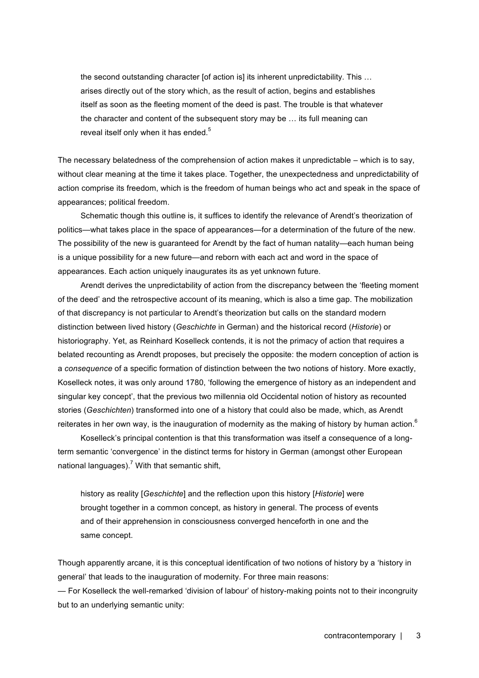the second outstanding character [of action is] its inherent unpredictability. This … arises directly out of the story which, as the result of action, begins and establishes itself as soon as the fleeting moment of the deed is past. The trouble is that whatever the character and content of the subsequent story may be … its full meaning can reveal itself only when it has ended.<sup>5</sup>

The necessary belatedness of the comprehension of action makes it unpredictable – which is to say, without clear meaning at the time it takes place. Together, the unexpectedness and unpredictability of action comprise its freedom, which is the freedom of human beings who act and speak in the space of appearances; political freedom.

Schematic though this outline is, it suffices to identify the relevance of Arendt's theorization of politics—what takes place in the space of appearances—for a determination of the future of the new. The possibility of the new is guaranteed for Arendt by the fact of human natality—each human being is a unique possibility for a new future—and reborn with each act and word in the space of appearances. Each action uniquely inaugurates its as yet unknown future.

Arendt derives the unpredictability of action from the discrepancy between the 'fleeting moment of the deed' and the retrospective account of its meaning, which is also a time gap. The mobilization of that discrepancy is not particular to Arendt's theorization but calls on the standard modern distinction between lived history (*Geschichte* in German) and the historical record (*Historie*) or historiography. Yet, as Reinhard Koselleck contends, it is not the primacy of action that requires a belated recounting as Arendt proposes, but precisely the opposite: the modern conception of action is a *consequence* of a specific formation of distinction between the two notions of history. More exactly, Koselleck notes, it was only around 1780, 'following the emergence of history as an independent and singular key concept', that the previous two millennia old Occidental notion of history as recounted stories (*Geschichten*) transformed into one of a history that could also be made, which, as Arendt reiterates in her own way, is the inauguration of modernity as the making of history by human action.<sup>6</sup>

Koselleck's principal contention is that this transformation was itself a consequence of a longterm semantic 'convergence' in the distinct terms for history in German (amongst other European national languages).<sup>7</sup> With that semantic shift,

history as reality [*Geschichte*] and the reflection upon this history [*Historie*] were brought together in a common concept, as history in general. The process of events and of their apprehension in consciousness converged henceforth in one and the same concept.

Though apparently arcane, it is this conceptual identification of two notions of history by a 'history in general' that leads to the inauguration of modernity. For three main reasons:

— For Koselleck the well-remarked 'division of labour' of history-making points not to their incongruity but to an underlying semantic unity: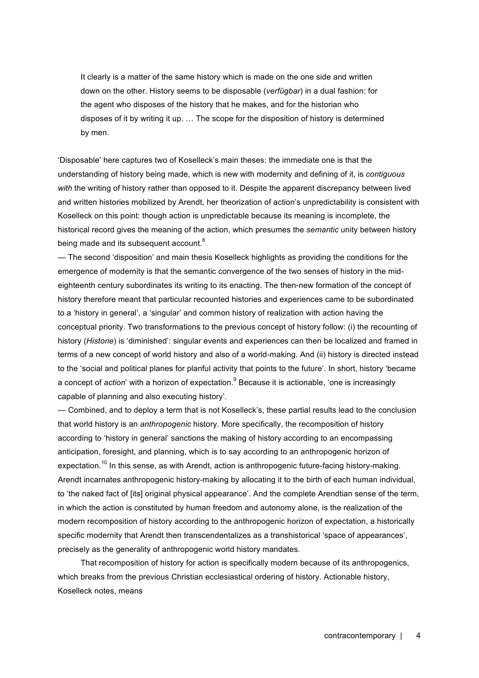It clearly is a matter of the same history which is made on the one side and written down on the other. History seems to be disposable (*verfügbar*) in a dual fashion: for the agent who disposes of the history that he makes, and for the historian who disposes of it by writing it up. … The scope for the disposition of history is determined by men.

'Disposable' here captures two of Koselleck's main theses: the immediate one is that the understanding of history being made, which is new with modernity and defining of it, is *contiguous with* the writing of history rather than opposed to it. Despite the apparent discrepancy between lived and written histories mobilized by Arendt, her theorization of action's unpredictability is consistent with Koselleck on this point: though action is unpredictable because its meaning is incomplete, the historical record gives the meaning of the action, which presumes the *semantic* unity between history being made and its subsequent account.<sup>8</sup>

— The second 'disposition' and main thesis Koselleck highlights as providing the conditions for the emergence of modernity is that the semantic convergence of the two senses of history in the mideighteenth century subordinates its writing to its enacting. The then-new formation of the concept of history therefore meant that particular recounted histories and experiences came to be subordinated to a 'history in general', a 'singular' and common history of realization with action having the conceptual priority. Two transformations to the previous concept of history follow: (i) the recounting of history (*Historie*) is 'diminished': singular events and experiences can then be localized and framed in terms of a new concept of world history and also of a world-making. And (ii) history is directed instead to the 'social and political planes for planful activity that points to the future'. In short, history 'became a concept of *action*' with a horizon of expectation.<sup>9</sup> Because it is actionable, 'one is increasingly capable of planning and also executing history'.

— Combined, and to deploy a term that is not Koselleck's, these partial results lead to the conclusion that world history is an *anthropogenic* history. More specifically, the recomposition of history according to 'history in general' sanctions the making of history according to an encompassing anticipation, foresight, and planning, which is to say according to an anthropogenic horizon of expectation.<sup>10</sup> In this sense, as with Arendt, action is anthropogenic future-facing history-making. Arendt incarnates anthropogenic history-making by allocating it to the birth of each human individual, to 'the naked fact of [its] original physical appearance'. And the complete Arendtian sense of the term, in which the action is constituted by human freedom and autonomy alone, is the realization of the modern recomposition of history according to the anthropogenic horizon of expectation, a historically specific modernity that Arendt then transcendentalizes as a transhistorical 'space of appearances', precisely as the generality of anthropogenic world history mandates.

That recomposition of history for action is specifically modern because of its anthropogenics, which breaks from the previous Christian ecclesiastical ordering of history. Actionable history, Koselleck notes, means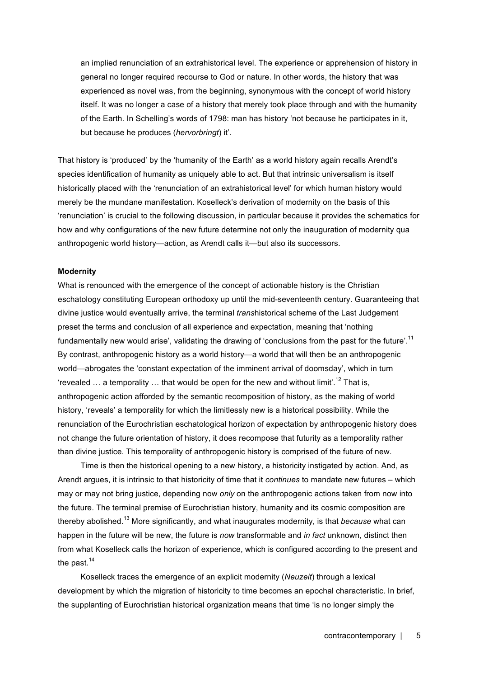an implied renunciation of an extrahistorical level. The experience or apprehension of history in general no longer required recourse to God or nature. In other words, the history that was experienced as novel was, from the beginning, synonymous with the concept of world history itself. It was no longer a case of a history that merely took place through and with the humanity of the Earth. In Schelling's words of 1798: man has history 'not because he participates in it, but because he produces (*hervorbringt*) it'.

That history is 'produced' by the 'humanity of the Earth' as a world history again recalls Arendt's species identification of humanity as uniquely able to act. But that intrinsic universalism is itself historically placed with the 'renunciation of an extrahistorical level' for which human history would merely be the mundane manifestation. Koselleck's derivation of modernity on the basis of this 'renunciation' is crucial to the following discussion, in particular because it provides the schematics for how and why configurations of the new future determine not only the inauguration of modernity qua anthropogenic world history—action, as Arendt calls it—but also its successors.

### **Modernity**

What is renounced with the emergence of the concept of actionable history is the Christian eschatology constituting European orthodoxy up until the mid-seventeenth century. Guaranteeing that divine justice would eventually arrive, the terminal *trans*historical scheme of the Last Judgement preset the terms and conclusion of all experience and expectation, meaning that 'nothing fundamentally new would arise', validating the drawing of 'conclusions from the past for the future'.<sup>11</sup> By contrast, anthropogenic history as a world history—a world that will then be an anthropogenic world—abrogates the 'constant expectation of the imminent arrival of doomsday', which in turn 'revealed ... a temporality ... that would be open for the new and without limit'.<sup>12</sup> That is, anthropogenic action afforded by the semantic recomposition of history, as the making of world history, 'reveals' a temporality for which the limitlessly new is a historical possibility. While the renunciation of the Eurochristian eschatological horizon of expectation by anthropogenic history does not change the future orientation of history, it does recompose that futurity as a temporality rather than divine justice. This temporality of anthropogenic history is comprised of the future of new.

Time is then the historical opening to a new history, a historicity instigated by action. And, as Arendt argues, it is intrinsic to that historicity of time that it *continues* to mandate new futures – which may or may not bring justice, depending now *only* on the anthropogenic actions taken from now into the future. The terminal premise of Eurochristian history, humanity and its cosmic composition are thereby abolished.<sup>13</sup> More significantly, and what inaugurates modernity, is that *because* what can happen in the future will be new, the future is *now* transformable and *in fact* unknown, distinct then from what Koselleck calls the horizon of experience, which is configured according to the present and the past.<sup>14</sup>

Koselleck traces the emergence of an explicit modernity (*Neuzeit*) through a lexical development by which the migration of historicity to time becomes an epochal characteristic. In brief, the supplanting of Eurochristian historical organization means that time 'is no longer simply the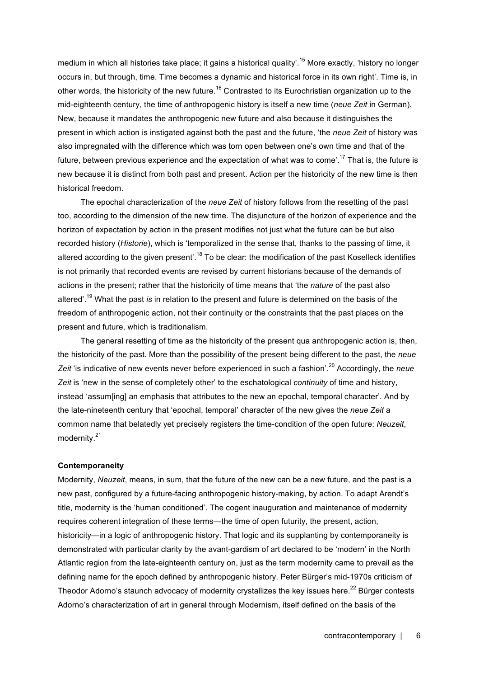medium in which all histories take place; it gains a historical quality'.<sup>15</sup> More exactly, 'history no longer occurs in, but through, time. Time becomes a dynamic and historical force in its own right'. Time is, in other words, the historicity of the new future.<sup>16</sup> Contrasted to its Eurochristian organization up to the mid-eighteenth century, the time of anthropogenic history is itself a new time (*neue Zeit* in German). New, because it mandates the anthropogenic new future and also because it distinguishes the present in which action is instigated against both the past and the future, 'the *neue Zeit* of history was also impregnated with the difference which was torn open between one's own time and that of the future, between previous experience and the expectation of what was to come'.<sup>17</sup> That is, the future is new because it is distinct from both past and present. Action per the historicity of the new time is then historical freedom.

The epochal characterization of the *neue Zeit* of history follows from the resetting of the past too, according to the dimension of the new time. The disjuncture of the horizon of experience and the horizon of expectation by action in the present modifies not just what the future can be but also recorded history (*Historie*), which is 'temporalized in the sense that, thanks to the passing of time, it altered according to the given present'.<sup>18</sup> To be clear: the modification of the past Koselleck identifies is not primarily that recorded events are revised by current historians because of the demands of actions in the present; rather that the historicity of time means that 'the *nature* of the past also altered'. <sup>19</sup> What the past *is* in relation to the present and future is determined on the basis of the freedom of anthropogenic action, not their continuity or the constraints that the past places on the present and future, which is traditionalism.

The general resetting of time as the historicity of the present qua anthropogenic action is, then, the historicity of the past. More than the possibility of the present being different to the past, the *neue Zeit* 'is indicative of new events never before experienced in such a fashion'. <sup>20</sup> Accordingly, the *neue Zeit* is 'new in the sense of completely other' to the eschatological *continuity* of time and history, instead 'assum[ing] an emphasis that attributes to the new an epochal, temporal character'. And by the late-nineteenth century that 'epochal, temporal' character of the new gives the *neue Zeit* a common name that belatedly yet precisely registers the time-condition of the open future: *Neuzeit*, modernity.<sup>21</sup>

### **Contemporaneity**

Modernity, *Neuzeit*, means, in sum, that the future of the new can be a new future, and the past is a new past, configured by a future-facing anthropogenic history-making, by action. To adapt Arendt's title, modernity is the 'human conditioned'. The cogent inauguration and maintenance of modernity requires coherent integration of these terms—the time of open futurity, the present, action, historicity—in a logic of anthropogenic history. That logic and its supplanting by contemporaneity is demonstrated with particular clarity by the avant-gardism of art declared to be 'modern' in the North Atlantic region from the late-eighteenth century on, just as the term modernity came to prevail as the defining name for the epoch defined by anthropogenic history. Peter Bürger's mid-1970s criticism of Theodor Adorno's staunch advocacy of modernity crystallizes the key issues here.<sup>22</sup> Bürger contests Adorno's characterization of art in general through Modernism, itself defined on the basis of the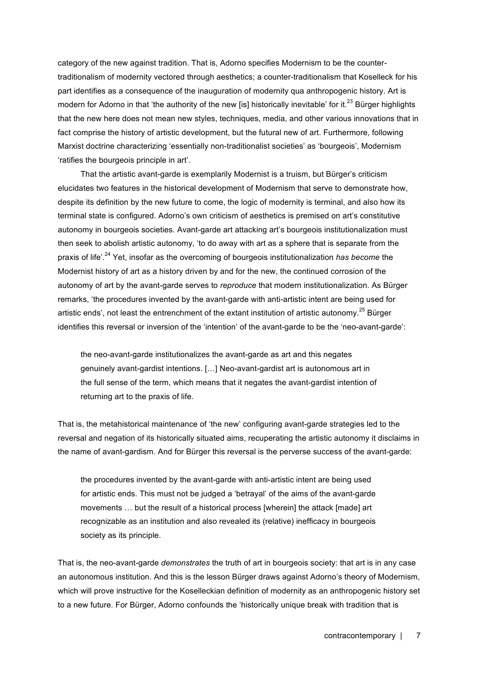category of the new against tradition. That is, Adorno specifies Modernism to be the countertraditionalism of modernity vectored through aesthetics; a counter-traditionalism that Koselleck for his part identifies as a consequence of the inauguration of modernity qua anthropogenic history. Art is modern for Adorno in that 'the authority of the new [is] historically inevitable' for it.<sup>23</sup> Bürger highlights that the new here does not mean new styles, techniques, media, and other various innovations that in fact comprise the history of artistic development, but the futural new of art. Furthermore, following Marxist doctrine characterizing 'essentially non-traditionalist societies' as 'bourgeois', Modernism 'ratifies the bourgeois principle in art'.

That the artistic avant-garde is exemplarily Modernist is a truism, but Bürger's criticism elucidates two features in the historical development of Modernism that serve to demonstrate how, despite its definition by the new future to come, the logic of modernity is terminal, and also how its terminal state is configured. Adorno's own criticism of aesthetics is premised on art's constitutive autonomy in bourgeois societies. Avant-garde art attacking art's bourgeois institutionalization must then seek to abolish artistic autonomy, 'to do away with art as a sphere that is separate from the praxis of life'. <sup>24</sup> Yet, insofar as the overcoming of bourgeois institutionalization *has become* the Modernist history of art as a history driven by and for the new, the continued corrosion of the autonomy of art by the avant-garde serves to *reproduce* that modern institutionalization. As Bürger remarks, 'the procedures invented by the avant-garde with anti-artistic intent are being used for artistic ends', not least the entrenchment of the extant institution of artistic autonomy.<sup>25</sup> Bürger identifies this reversal or inversion of the 'intention' of the avant-garde to be the 'neo-avant-garde':

the neo-avant-garde institutionalizes the avant-garde as art and this negates genuinely avant-gardist intentions. […] Neo-avant-gardist art is autonomous art in the full sense of the term, which means that it negates the avant-gardist intention of returning art to the praxis of life.

That is, the metahistorical maintenance of 'the new' configuring avant-garde strategies led to the reversal and negation of its historically situated aims, recuperating the artistic autonomy it disclaims in the name of avant-gardism. And for Bürger this reversal is the perverse success of the avant-garde:

the procedures invented by the avant-garde with anti-artistic intent are being used for artistic ends. This must not be judged a 'betrayal' of the aims of the avant-garde movements … but the result of a historical process [wherein] the attack [made] art recognizable as an institution and also revealed its (relative) inefficacy in bourgeois society as its principle.

That is, the neo-avant-garde *demonstrates* the truth of art in bourgeois society: that art is in any case an autonomous institution. And this is the lesson Bürger draws against Adorno's theory of Modernism, which will prove instructive for the Koselleckian definition of modernity as an anthropogenic history set to a new future. For Bürger, Adorno confounds the 'historically unique break with tradition that is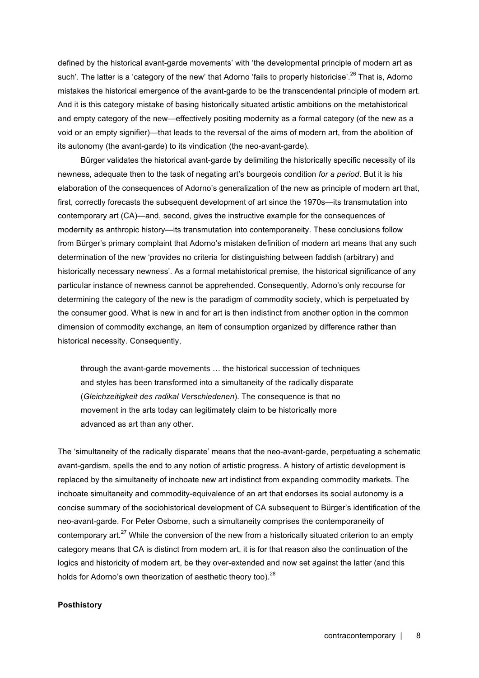defined by the historical avant-garde movements' with 'the developmental principle of modern art as such'. The latter is a 'category of the new' that Adorno 'fails to properly historicise'.<sup>26</sup> That is, Adorno mistakes the historical emergence of the avant-garde to be the transcendental principle of modern art. And it is this category mistake of basing historically situated artistic ambitions on the metahistorical and empty category of the new—effectively positing modernity as a formal category (of the new as a void or an empty signifier)—that leads to the reversal of the aims of modern art, from the abolition of its autonomy (the avant-garde) to its vindication (the neo-avant-garde).

Bürger validates the historical avant-garde by delimiting the historically specific necessity of its newness, adequate then to the task of negating art's bourgeois condition *for a period*. But it is his elaboration of the consequences of Adorno's generalization of the new as principle of modern art that, first, correctly forecasts the subsequent development of art since the 1970s—its transmutation into contemporary art (CA)—and, second, gives the instructive example for the consequences of modernity as anthropic history—its transmutation into contemporaneity. These conclusions follow from Bürger's primary complaint that Adorno's mistaken definition of modern art means that any such determination of the new 'provides no criteria for distinguishing between faddish (arbitrary) and historically necessary newness'. As a formal metahistorical premise, the historical significance of any particular instance of newness cannot be apprehended. Consequently, Adorno's only recourse for determining the category of the new is the paradigm of commodity society, which is perpetuated by the consumer good. What is new in and for art is then indistinct from another option in the common dimension of commodity exchange, an item of consumption organized by difference rather than historical necessity. Consequently,

through the avant-garde movements … the historical succession of techniques and styles has been transformed into a simultaneity of the radically disparate (*Gleichzeitigkeit des radikal Verschiedenen*). The consequence is that no movement in the arts today can legitimately claim to be historically more advanced as art than any other.

The 'simultaneity of the radically disparate' means that the neo-avant-garde, perpetuating a schematic avant-gardism, spells the end to any notion of artistic progress. A history of artistic development is replaced by the simultaneity of inchoate new art indistinct from expanding commodity markets. The inchoate simultaneity and commodity-equivalence of an art that endorses its social autonomy is a concise summary of the sociohistorical development of CA subsequent to Bürger's identification of the neo-avant-garde. For Peter Osborne, such a simultaneity comprises the contemporaneity of contemporary art.<sup>27</sup> While the conversion of the new from a historically situated criterion to an empty category means that CA is distinct from modern art, it is for that reason also the continuation of the logics and historicity of modern art, be they over-extended and now set against the latter (and this holds for Adorno's own theorization of aesthetic theory too).<sup>28</sup>

### **Posthistory**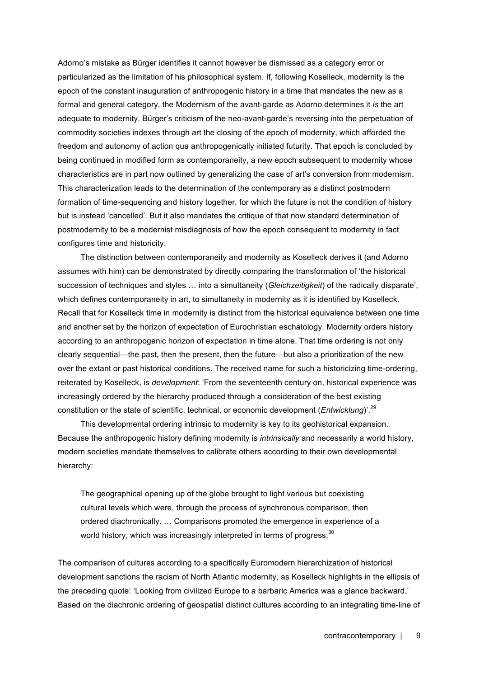Adorno's mistake as Bürger identifies it cannot however be dismissed as a category error or particularized as the limitation of his philosophical system. If, following Koselleck, modernity is the epoch of the constant inauguration of anthropogenic history in a time that mandates the new as a formal and general category, the Modernism of the avant-garde as Adorno determines it *is* the art adequate to modernity. Bürger's criticism of the neo-avant-garde's reversing into the perpetuation of commodity societies indexes through art the closing of the epoch of modernity, which afforded the freedom and autonomy of action qua anthropogenically initiated futurity. That epoch is concluded by being continued in modified form as contemporaneity, a new epoch subsequent to modernity whose characteristics are in part now outlined by generalizing the case of art's conversion from modernism. This characterization leads to the determination of the contemporary as a distinct postmodern formation of time-sequencing and history together, for which the future is not the condition of history but is instead 'cancelled'. But it also mandates the critique of that now standard determination of postmodernity to be a modernist misdiagnosis of how the epoch consequent to modernity in fact configures time and historicity.

The distinction between contemporaneity and modernity as Koselleck derives it (and Adorno assumes with him) can be demonstrated by directly comparing the transformation of 'the historical succession of techniques and styles … into a simultaneity (*Gleichzeitigkeit*) of the radically disparate', which defines contemporaneity in art, to simultaneity in modernity as it is identified by Koselleck. Recall that for Koselleck time in modernity is distinct from the historical equivalence between one time and another set by the horizon of expectation of Eurochristian eschatology. Modernity orders history according to an anthropogenic horizon of expectation in time alone. That time ordering is not only clearly sequential—the past, then the present, then the future—but also a prioritization of the new over the extant or past historical conditions. The received name for such a historicizing time-ordering, reiterated by Koselleck, is *development*: 'From the seventeenth century on, historical experience was increasingly ordered by the hierarchy produced through a consideration of the best existing constitution or the state of scientific, technical, or economic development (*Entwicklung*)'. 29

This developmental ordering intrinsic to modernity is key to its geohistorical expansion. Because the anthropogenic history defining modernity is *intrinsically* and necessarily a world history, modern societies mandate themselves to calibrate others according to their own developmental hierarchy:

The geographical opening up of the globe brought to light various but coexisting cultural levels which were, through the process of synchronous comparison, then ordered diachronically. … Comparisons promoted the emergence in experience of a world history, which was increasingly interpreted in terms of progress. $30$ 

The comparison of cultures according to a specifically Euromodern hierarchization of historical development sanctions the racism of North Atlantic modernity, as Koselleck highlights in the ellipsis of the preceding quote: 'Looking from civilized Europe to a barbaric America was a glance backward.' Based on the diachronic ordering of geospatial distinct cultures according to an integrating time-line of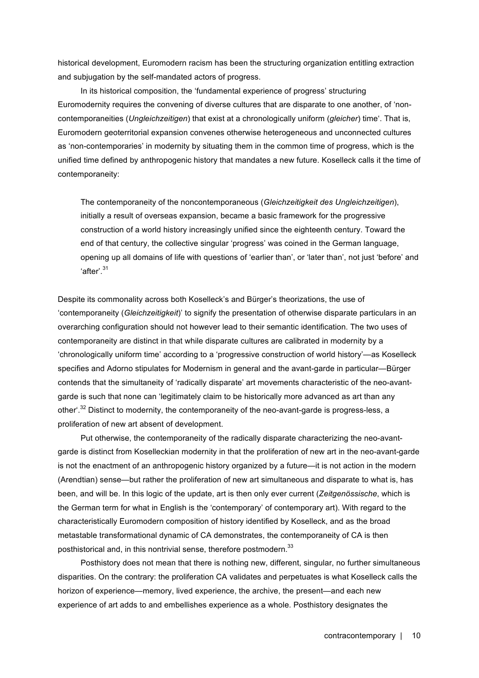historical development, Euromodern racism has been the structuring organization entitling extraction and subjugation by the self-mandated actors of progress.

In its historical composition, the 'fundamental experience of progress' structuring Euromodernity requires the convening of diverse cultures that are disparate to one another, of 'noncontemporaneities (*Ungleichzeitigen*) that exist at a chronologically uniform (*gleicher*) time'. That is, Euromodern geoterritorial expansion convenes otherwise heterogeneous and unconnected cultures as 'non-contemporaries' in modernity by situating them in the common time of progress, which is the unified time defined by anthropogenic history that mandates a new future. Koselleck calls it the time of contemporaneity:

The contemporaneity of the noncontemporaneous (*Gleichzeitigkeit des Ungleichzeitigen*), initially a result of overseas expansion, became a basic framework for the progressive construction of a world history increasingly unified since the eighteenth century. Toward the end of that century, the collective singular 'progress' was coined in the German language, opening up all domains of life with questions of 'earlier than', or 'later than', not just 'before' and 'after'.<sup>31</sup>

Despite its commonality across both Koselleck's and Bürger's theorizations, the use of 'contemporaneity (*Gleichzeitigkeit*)' to signify the presentation of otherwise disparate particulars in an overarching configuration should not however lead to their semantic identification. The two uses of contemporaneity are distinct in that while disparate cultures are calibrated in modernity by a 'chronologically uniform time' according to a 'progressive construction of world history'—as Koselleck specifies and Adorno stipulates for Modernism in general and the avant-garde in particular—Bürger contends that the simultaneity of 'radically disparate' art movements characteristic of the neo-avantgarde is such that none can 'legitimately claim to be historically more advanced as art than any other'.<sup>32</sup> Distinct to modernity, the contemporaneity of the neo-avant-garde is progress-less, a proliferation of new art absent of development.

Put otherwise, the contemporaneity of the radically disparate characterizing the neo-avantgarde is distinct from Koselleckian modernity in that the proliferation of new art in the neo-avant-garde is not the enactment of an anthropogenic history organized by a future—it is not action in the modern (Arendtian) sense—but rather the proliferation of new art simultaneous and disparate to what is, has been, and will be. In this logic of the update, art is then only ever current (*Zeitgenössische*, which is the German term for what in English is the 'contemporary' of contemporary art). With regard to the characteristically Euromodern composition of history identified by Koselleck, and as the broad metastable transformational dynamic of CA demonstrates, the contemporaneity of CA is then posthistorical and, in this nontrivial sense, therefore postmodern.<sup>33</sup>

Posthistory does not mean that there is nothing new, different, singular, no further simultaneous disparities. On the contrary: the proliferation CA validates and perpetuates is what Koselleck calls the horizon of experience—memory, lived experience, the archive, the present—and each new experience of art adds to and embellishes experience as a whole. Posthistory designates the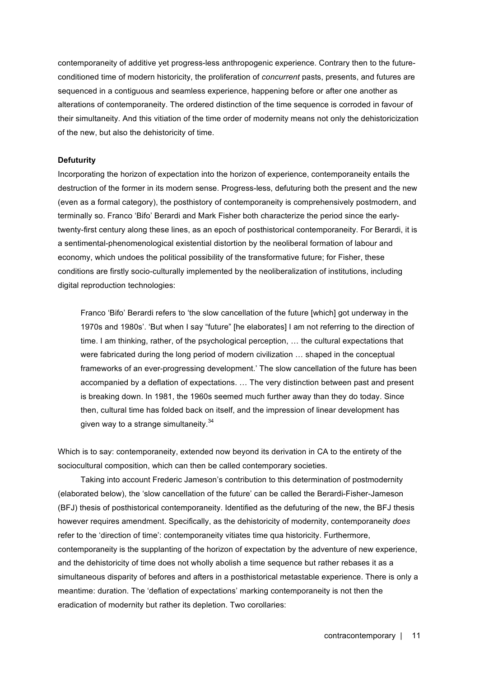contemporaneity of additive yet progress-less anthropogenic experience. Contrary then to the futureconditioned time of modern historicity, the proliferation of *concurrent* pasts, presents, and futures are sequenced in a contiguous and seamless experience, happening before or after one another as alterations of contemporaneity. The ordered distinction of the time sequence is corroded in favour of their simultaneity. And this vitiation of the time order of modernity means not only the dehistoricization of the new, but also the dehistoricity of time.

### **Defuturity**

Incorporating the horizon of expectation into the horizon of experience, contemporaneity entails the destruction of the former in its modern sense. Progress-less, defuturing both the present and the new (even as a formal category), the posthistory of contemporaneity is comprehensively postmodern, and terminally so. Franco 'Bifo' Berardi and Mark Fisher both characterize the period since the earlytwenty-first century along these lines, as an epoch of posthistorical contemporaneity. For Berardi, it is a sentimental-phenomenological existential distortion by the neoliberal formation of labour and economy, which undoes the political possibility of the transformative future; for Fisher, these conditions are firstly socio-culturally implemented by the neoliberalization of institutions, including digital reproduction technologies:

Franco 'Bifo' Berardi refers to 'the slow cancellation of the future [which] got underway in the 1970s and 1980s'. 'But when I say "future" [he elaborates] I am not referring to the direction of time. I am thinking, rather, of the psychological perception, … the cultural expectations that were fabricated during the long period of modern civilization … shaped in the conceptual frameworks of an ever-progressing development.' The slow cancellation of the future has been accompanied by a deflation of expectations. … The very distinction between past and present is breaking down. In 1981, the 1960s seemed much further away than they do today. Since then, cultural time has folded back on itself, and the impression of linear development has given way to a strange simultaneity.<sup>34</sup>

Which is to say: contemporaneity, extended now beyond its derivation in CA to the entirety of the sociocultural composition, which can then be called contemporary societies.

Taking into account Frederic Jameson's contribution to this determination of postmodernity (elaborated below), the 'slow cancellation of the future' can be called the Berardi-Fisher-Jameson (BFJ) thesis of posthistorical contemporaneity. Identified as the defuturing of the new, the BFJ thesis however requires amendment. Specifically, as the dehistoricity of modernity, contemporaneity *does* refer to the 'direction of time': contemporaneity vitiates time qua historicity. Furthermore, contemporaneity is the supplanting of the horizon of expectation by the adventure of new experience, and the dehistoricity of time does not wholly abolish a time sequence but rather rebases it as a simultaneous disparity of befores and afters in a posthistorical metastable experience. There is only a meantime: duration. The 'deflation of expectations' marking contemporaneity is not then the eradication of modernity but rather its depletion. Two corollaries: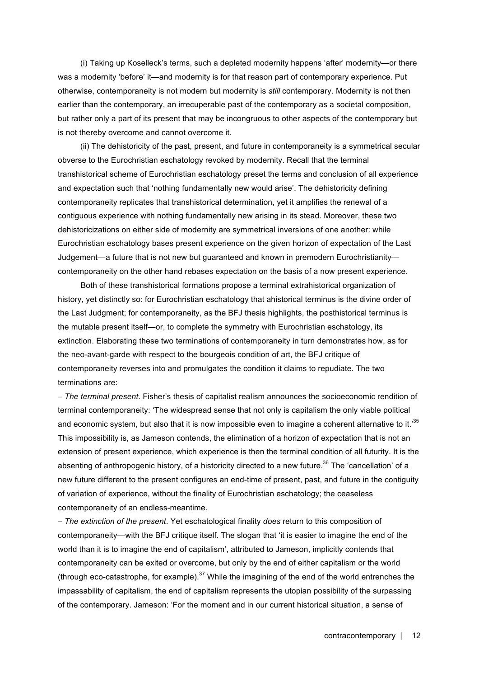(i) Taking up Koselleck's terms, such a depleted modernity happens 'after' modernity—or there was a modernity 'before' it—and modernity is for that reason part of contemporary experience. Put otherwise, contemporaneity is not modern but modernity is *still* contemporary. Modernity is not then earlier than the contemporary, an irrecuperable past of the contemporary as a societal composition, but rather only a part of its present that may be incongruous to other aspects of the contemporary but is not thereby overcome and cannot overcome it.

(ii) The dehistoricity of the past, present, and future in contemporaneity is a symmetrical secular obverse to the Eurochristian eschatology revoked by modernity. Recall that the terminal transhistorical scheme of Eurochristian eschatology preset the terms and conclusion of all experience and expectation such that 'nothing fundamentally new would arise'. The dehistoricity defining contemporaneity replicates that transhistorical determination, yet it amplifies the renewal of a contiguous experience with nothing fundamentally new arising in its stead. Moreover, these two dehistoricizations on either side of modernity are symmetrical inversions of one another: while Eurochristian eschatology bases present experience on the given horizon of expectation of the Last Judgement—a future that is not new but guaranteed and known in premodern Eurochristianity contemporaneity on the other hand rebases expectation on the basis of a now present experience.

Both of these transhistorical formations propose a terminal extrahistorical organization of history, yet distinctly so: for Eurochristian eschatology that ahistorical terminus is the divine order of the Last Judgment; for contemporaneity, as the BFJ thesis highlights, the posthistorical terminus is the mutable present itself—or, to complete the symmetry with Eurochristian eschatology, its extinction. Elaborating these two terminations of contemporaneity in turn demonstrates how, as for the neo-avant-garde with respect to the bourgeois condition of art, the BFJ critique of contemporaneity reverses into and promulgates the condition it claims to repudiate. The two terminations are:

– *The terminal present*. Fisher's thesis of capitalist realism announces the socioeconomic rendition of terminal contemporaneity: 'The widespread sense that not only is capitalism the only viable political and economic system, but also that it is now impossible even to imagine a coherent alternative to it.'<sup>35</sup> This impossibility is, as Jameson contends, the elimination of a horizon of expectation that is not an extension of present experience, which experience is then the terminal condition of all futurity. It is the absenting of anthropogenic history, of a historicity directed to a new future.<sup>36</sup> The 'cancellation' of a new future different to the present configures an end-time of present, past, and future in the contiguity of variation of experience, without the finality of Eurochristian eschatology; the ceaseless contemporaneity of an endless-meantime.

– *The extinction of the present*. Yet eschatological finality *does* return to this composition of contemporaneity—with the BFJ critique itself. The slogan that 'it is easier to imagine the end of the world than it is to imagine the end of capitalism', attributed to Jameson, implicitly contends that contemporaneity can be exited or overcome, but only by the end of either capitalism or the world (through eco-catastrophe, for example).<sup>37</sup> While the imagining of the end of the world entrenches the impassability of capitalism, the end of capitalism represents the utopian possibility of the surpassing of the contemporary. Jameson: 'For the moment and in our current historical situation, a sense of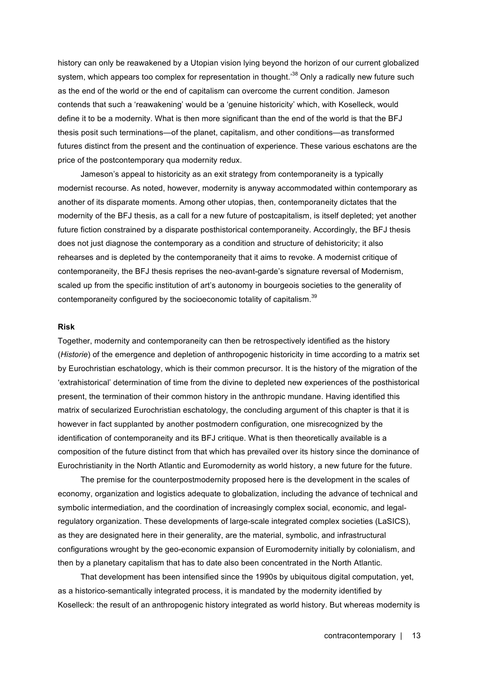history can only be reawakened by a Utopian vision lying beyond the horizon of our current globalized system, which appears too complex for representation in thought.<sup>38</sup> Only a radically new future such as the end of the world or the end of capitalism can overcome the current condition. Jameson contends that such a 'reawakening' would be a 'genuine historicity' which, with Koselleck, would define it to be a modernity. What is then more significant than the end of the world is that the BFJ thesis posit such terminations—of the planet, capitalism, and other conditions—as transformed futures distinct from the present and the continuation of experience. These various eschatons are the price of the postcontemporary qua modernity redux.

Jameson's appeal to historicity as an exit strategy from contemporaneity is a typically modernist recourse. As noted, however, modernity is anyway accommodated within contemporary as another of its disparate moments. Among other utopias, then, contemporaneity dictates that the modernity of the BFJ thesis, as a call for a new future of postcapitalism, is itself depleted; yet another future fiction constrained by a disparate posthistorical contemporaneity. Accordingly, the BFJ thesis does not just diagnose the contemporary as a condition and structure of dehistoricity; it also rehearses and is depleted by the contemporaneity that it aims to revoke. A modernist critique of contemporaneity, the BFJ thesis reprises the neo-avant-garde's signature reversal of Modernism, scaled up from the specific institution of art's autonomy in bourgeois societies to the generality of contemporaneity configured by the socioeconomic totality of capitalism.<sup>39</sup>

### **Risk**

Together, modernity and contemporaneity can then be retrospectively identified as the history (*Historie*) of the emergence and depletion of anthropogenic historicity in time according to a matrix set by Eurochristian eschatology, which is their common precursor. It is the history of the migration of the 'extrahistorical' determination of time from the divine to depleted new experiences of the posthistorical present, the termination of their common history in the anthropic mundane. Having identified this matrix of secularized Eurochristian eschatology, the concluding argument of this chapter is that it is however in fact supplanted by another postmodern configuration, one misrecognized by the identification of contemporaneity and its BFJ critique. What is then theoretically available is a composition of the future distinct from that which has prevailed over its history since the dominance of Eurochristianity in the North Atlantic and Euromodernity as world history, a new future for the future.

The premise for the counterpostmodernity proposed here is the development in the scales of economy, organization and logistics adequate to globalization, including the advance of technical and symbolic intermediation, and the coordination of increasingly complex social, economic, and legalregulatory organization. These developments of large-scale integrated complex societies (LaSICS), as they are designated here in their generality, are the material, symbolic, and infrastructural configurations wrought by the geo-economic expansion of Euromodernity initially by colonialism, and then by a planetary capitalism that has to date also been concentrated in the North Atlantic.

That development has been intensified since the 1990s by ubiquitous digital computation, yet, as a historico-semantically integrated process, it is mandated by the modernity identified by Koselleck: the result of an anthropogenic history integrated as world history. But whereas modernity is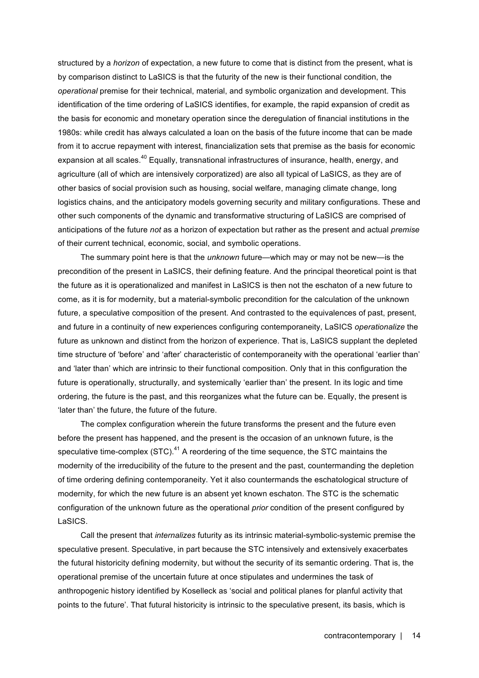structured by a *horizon* of expectation, a new future to come that is distinct from the present, what is by comparison distinct to LaSICS is that the futurity of the new is their functional condition, the *operational* premise for their technical, material, and symbolic organization and development. This identification of the time ordering of LaSICS identifies, for example, the rapid expansion of credit as the basis for economic and monetary operation since the deregulation of financial institutions in the 1980s: while credit has always calculated a loan on the basis of the future income that can be made from it to accrue repayment with interest, financialization sets that premise as the basis for economic expansion at all scales.<sup>40</sup> Equally, transnational infrastructures of insurance, health, energy, and agriculture (all of which are intensively corporatized) are also all typical of LaSICS, as they are of other basics of social provision such as housing, social welfare, managing climate change, long logistics chains, and the anticipatory models governing security and military configurations. These and other such components of the dynamic and transformative structuring of LaSICS are comprised of anticipations of the future *not* as a horizon of expectation but rather as the present and actual *premise* of their current technical, economic, social, and symbolic operations.

The summary point here is that the *unknown* future—which may or may not be new—is the precondition of the present in LaSICS, their defining feature. And the principal theoretical point is that the future as it is operationalized and manifest in LaSICS is then not the eschaton of a new future to come, as it is for modernity, but a material-symbolic precondition for the calculation of the unknown future, a speculative composition of the present. And contrasted to the equivalences of past, present, and future in a continuity of new experiences configuring contemporaneity, LaSICS *operationalize* the future as unknown and distinct from the horizon of experience. That is, LaSICS supplant the depleted time structure of 'before' and 'after' characteristic of contemporaneity with the operational 'earlier than' and 'later than' which are intrinsic to their functional composition. Only that in this configuration the future is operationally, structurally, and systemically 'earlier than' the present. In its logic and time ordering, the future is the past, and this reorganizes what the future can be. Equally, the present is 'later than' the future, the future of the future.

The complex configuration wherein the future transforms the present and the future even before the present has happened, and the present is the occasion of an unknown future, is the speculative time-complex  $(STC)$ .<sup>41</sup> A reordering of the time sequence, the STC maintains the modernity of the irreducibility of the future to the present and the past, countermanding the depletion of time ordering defining contemporaneity. Yet it also countermands the eschatological structure of modernity, for which the new future is an absent yet known eschaton. The STC is the schematic configuration of the unknown future as the operational *prior* condition of the present configured by LaSICS.

Call the present that *internalizes* futurity as its intrinsic material-symbolic-systemic premise the speculative present. Speculative, in part because the STC intensively and extensively exacerbates the futural historicity defining modernity, but without the security of its semantic ordering. That is, the operational premise of the uncertain future at once stipulates and undermines the task of anthropogenic history identified by Koselleck as 'social and political planes for planful activity that points to the future'. That futural historicity is intrinsic to the speculative present, its basis, which is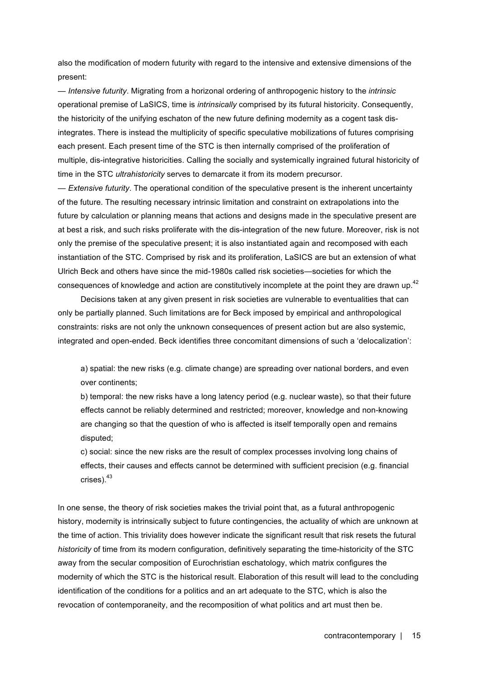also the modification of modern futurity with regard to the intensive and extensive dimensions of the present:

— *Intensive futurity*. Migrating from a horizonal ordering of anthropogenic history to the *intrinsic* operational premise of LaSICS, time is *intrinsically* comprised by its futural historicity. Consequently, the historicity of the unifying eschaton of the new future defining modernity as a cogent task disintegrates. There is instead the multiplicity of specific speculative mobilizations of futures comprising each present. Each present time of the STC is then internally comprised of the proliferation of multiple, dis-integrative historicities. Calling the socially and systemically ingrained futural historicity of time in the STC *ultrahistoricity* serves to demarcate it from its modern precursor.

— *Extensive futurity*. The operational condition of the speculative present is the inherent uncertainty of the future. The resulting necessary intrinsic limitation and constraint on extrapolations into the future by calculation or planning means that actions and designs made in the speculative present are at best a risk, and such risks proliferate with the dis-integration of the new future. Moreover, risk is not only the premise of the speculative present; it is also instantiated again and recomposed with each instantiation of the STC. Comprised by risk and its proliferation, LaSICS are but an extension of what Ulrich Beck and others have since the mid-1980s called risk societies—societies for which the consequences of knowledge and action are constitutively incomplete at the point they are drawn up.<sup>42</sup>

Decisions taken at any given present in risk societies are vulnerable to eventualities that can only be partially planned. Such limitations are for Beck imposed by empirical and anthropological constraints: risks are not only the unknown consequences of present action but are also systemic, integrated and open-ended. Beck identifies three concomitant dimensions of such a 'delocalization':

a) spatial: the new risks (e.g. climate change) are spreading over national borders, and even over continents;

b) temporal: the new risks have a long latency period (e.g. nuclear waste), so that their future effects cannot be reliably determined and restricted; moreover, knowledge and non-knowing are changing so that the question of who is affected is itself temporally open and remains disputed;

c) social: since the new risks are the result of complex processes involving long chains of effects, their causes and effects cannot be determined with sufficient precision (e.g. financial crises).43

In one sense, the theory of risk societies makes the trivial point that, as a futural anthropogenic history, modernity is intrinsically subject to future contingencies, the actuality of which are unknown at the time of action. This triviality does however indicate the significant result that risk resets the futural *historicity* of time from its modern configuration, definitively separating the time-historicity of the STC away from the secular composition of Eurochristian eschatology, which matrix configures the modernity of which the STC is the historical result. Elaboration of this result will lead to the concluding identification of the conditions for a politics and an art adequate to the STC, which is also the revocation of contemporaneity, and the recomposition of what politics and art must then be.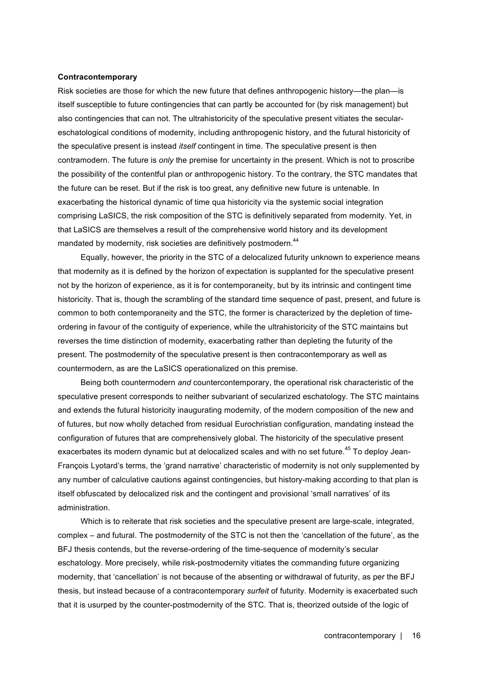### **Contracontemporary**

Risk societies are those for which the new future that defines anthropogenic history—the plan—is itself susceptible to future contingencies that can partly be accounted for (by risk management) but also contingencies that can not. The ultrahistoricity of the speculative present vitiates the seculareschatological conditions of modernity, including anthropogenic history, and the futural historicity of the speculative present is instead *itself* contingent in time. The speculative present is then contramodern. The future is *only* the premise for uncertainty in the present. Which is not to proscribe the possibility of the contentful plan or anthropogenic history. To the contrary, the STC mandates that the future can be reset. But if the risk is too great, any definitive new future is untenable. In exacerbating the historical dynamic of time qua historicity via the systemic social integration comprising LaSICS, the risk composition of the STC is definitively separated from modernity. Yet, in that LaSICS are themselves a result of the comprehensive world history and its development mandated by modernity, risk societies are definitively postmodern.<sup>44</sup>

Equally, however, the priority in the STC of a delocalized futurity unknown to experience means that modernity as it is defined by the horizon of expectation is supplanted for the speculative present not by the horizon of experience, as it is for contemporaneity, but by its intrinsic and contingent time historicity. That is, though the scrambling of the standard time sequence of past, present, and future is common to both contemporaneity and the STC, the former is characterized by the depletion of timeordering in favour of the contiguity of experience, while the ultrahistoricity of the STC maintains but reverses the time distinction of modernity, exacerbating rather than depleting the futurity of the present. The postmodernity of the speculative present is then contracontemporary as well as countermodern, as are the LaSICS operationalized on this premise.

Being both countermodern *and* countercontemporary, the operational risk characteristic of the speculative present corresponds to neither subvariant of secularized eschatology. The STC maintains and extends the futural historicity inaugurating modernity, of the modern composition of the new and of futures, but now wholly detached from residual Eurochristian configuration, mandating instead the configuration of futures that are comprehensively global. The historicity of the speculative present exacerbates its modern dynamic but at delocalized scales and with no set future.<sup>45</sup> To deploy Jean-François Lyotard's terms, the 'grand narrative' characteristic of modernity is not only supplemented by any number of calculative cautions against contingencies, but history-making according to that plan is itself obfuscated by delocalized risk and the contingent and provisional 'small narratives' of its administration.

Which is to reiterate that risk societies and the speculative present are large-scale, integrated, complex – and futural. The postmodernity of the STC is not then the 'cancellation of the future', as the BFJ thesis contends, but the reverse-ordering of the time-sequence of modernity's secular eschatology. More precisely, while risk-postmodernity vitiates the commanding future organizing modernity, that 'cancellation' is not because of the absenting or withdrawal of futurity, as per the BFJ thesis, but instead because of a contracontemporary *surfeit* of futurity. Modernity is exacerbated such that it is usurped by the counter-postmodernity of the STC. That is, theorized outside of the logic of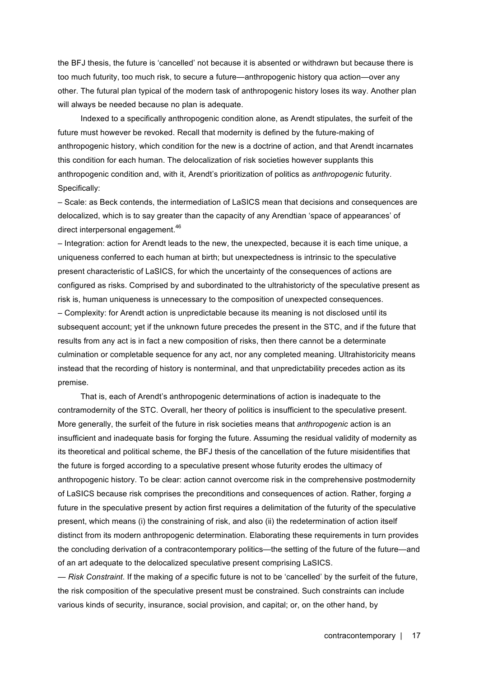the BFJ thesis, the future is 'cancelled' not because it is absented or withdrawn but because there is too much futurity, too much risk, to secure a future—anthropogenic history qua action—over any other. The futural plan typical of the modern task of anthropogenic history loses its way. Another plan will always be needed because no plan is adequate.

Indexed to a specifically anthropogenic condition alone, as Arendt stipulates, the surfeit of the future must however be revoked. Recall that modernity is defined by the future-making of anthropogenic history, which condition for the new is a doctrine of action, and that Arendt incarnates this condition for each human. The delocalization of risk societies however supplants this anthropogenic condition and, with it, Arendt's prioritization of politics as *anthropogenic* futurity. Specifically:

– Scale: as Beck contends, the intermediation of LaSICS mean that decisions and consequences are delocalized, which is to say greater than the capacity of any Arendtian 'space of appearances' of direct interpersonal engagement.<sup>46</sup>

– Integration: action for Arendt leads to the new, the unexpected, because it is each time unique, a uniqueness conferred to each human at birth; but unexpectedness is intrinsic to the speculative present characteristic of LaSICS, for which the uncertainty of the consequences of actions are configured as risks. Comprised by and subordinated to the ultrahistoricty of the speculative present as risk is, human uniqueness is unnecessary to the composition of unexpected consequences. – Complexity: for Arendt action is unpredictable because its meaning is not disclosed until its subsequent account; yet if the unknown future precedes the present in the STC, and if the future that results from any act is in fact a new composition of risks, then there cannot be a determinate culmination or completable sequence for any act, nor any completed meaning. Ultrahistoricity means instead that the recording of history is nonterminal, and that unpredictability precedes action as its premise.

That is, each of Arendt's anthropogenic determinations of action is inadequate to the contramodernity of the STC. Overall, her theory of politics is insufficient to the speculative present. More generally, the surfeit of the future in risk societies means that *anthropogenic* action is an insufficient and inadequate basis for forging the future. Assuming the residual validity of modernity as its theoretical and political scheme, the BFJ thesis of the cancellation of the future misidentifies that the future is forged according to a speculative present whose futurity erodes the ultimacy of anthropogenic history. To be clear: action cannot overcome risk in the comprehensive postmodernity of LaSICS because risk comprises the preconditions and consequences of action. Rather, forging *a* future in the speculative present by action first requires a delimitation of the futurity of the speculative present, which means (i) the constraining of risk, and also (ii) the redetermination of action itself distinct from its modern anthropogenic determination. Elaborating these requirements in turn provides the concluding derivation of a contracontemporary politics—the setting of the future of the future—and of an art adequate to the delocalized speculative present comprising LaSICS.

— *Risk Constraint*. If the making of *a* specific future is not to be 'cancelled' by the surfeit of the future, the risk composition of the speculative present must be constrained. Such constraints can include various kinds of security, insurance, social provision, and capital; or, on the other hand, by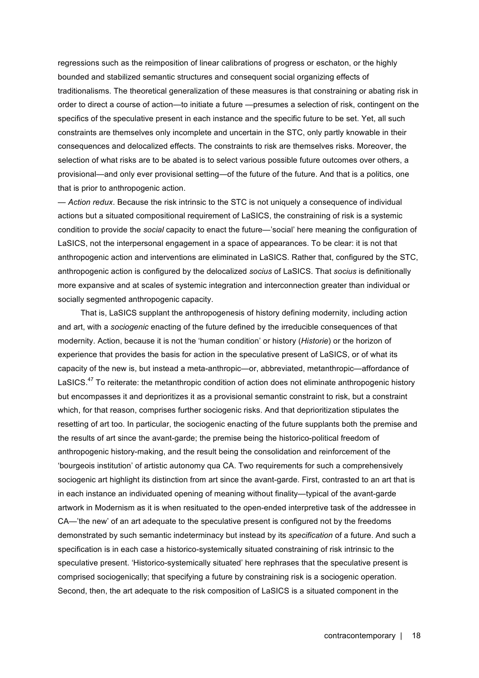regressions such as the reimposition of linear calibrations of progress or eschaton, or the highly bounded and stabilized semantic structures and consequent social organizing effects of traditionalisms. The theoretical generalization of these measures is that constraining or abating risk in order to direct a course of action—to initiate a future —presumes a selection of risk, contingent on the specifics of the speculative present in each instance and the specific future to be set. Yet, all such constraints are themselves only incomplete and uncertain in the STC, only partly knowable in their consequences and delocalized effects. The constraints to risk are themselves risks. Moreover, the selection of what risks are to be abated is to select various possible future outcomes over others, a provisional—and only ever provisional setting—of the future of the future. And that is a politics, one that is prior to anthropogenic action.

— *Action redux*. Because the risk intrinsic to the STC is not uniquely a consequence of individual actions but a situated compositional requirement of LaSICS, the constraining of risk is a systemic condition to provide the *social* capacity to enact the future—'social' here meaning the configuration of LaSICS, not the interpersonal engagement in a space of appearances. To be clear: it is not that anthropogenic action and interventions are eliminated in LaSICS. Rather that, configured by the STC, anthropogenic action is configured by the delocalized *socius* of LaSICS. That *socius* is definitionally more expansive and at scales of systemic integration and interconnection greater than individual or socially segmented anthropogenic capacity.

That is, LaSICS supplant the anthropogenesis of history defining modernity, including action and art, with a *sociogenic* enacting of the future defined by the irreducible consequences of that modernity. Action, because it is not the 'human condition' or history (*Historie*) or the horizon of experience that provides the basis for action in the speculative present of LaSICS, or of what its capacity of the new is, but instead a meta-anthropic—or, abbreviated, metanthropic—affordance of LaSICS.<sup>47</sup> To reiterate: the metanthropic condition of action does not eliminate anthropogenic history but encompasses it and deprioritizes it as a provisional semantic constraint to risk, but a constraint which, for that reason, comprises further sociogenic risks. And that deprioritization stipulates the resetting of art too. In particular, the sociogenic enacting of the future supplants both the premise and the results of art since the avant-garde; the premise being the historico-political freedom of anthropogenic history-making, and the result being the consolidation and reinforcement of the 'bourgeois institution' of artistic autonomy qua CA. Two requirements for such a comprehensively sociogenic art highlight its distinction from art since the avant-garde. First, contrasted to an art that is in each instance an individuated opening of meaning without finality—typical of the avant-garde artwork in Modernism as it is when resituated to the open-ended interpretive task of the addressee in CA—'the new' of an art adequate to the speculative present is configured not by the freedoms demonstrated by such semantic indeterminacy but instead by its *specification* of a future. And such a specification is in each case a historico-systemically situated constraining of risk intrinsic to the speculative present. 'Historico-systemically situated' here rephrases that the speculative present is comprised sociogenically; that specifying a future by constraining risk is a sociogenic operation. Second, then, the art adequate to the risk composition of LaSICS is a situated component in the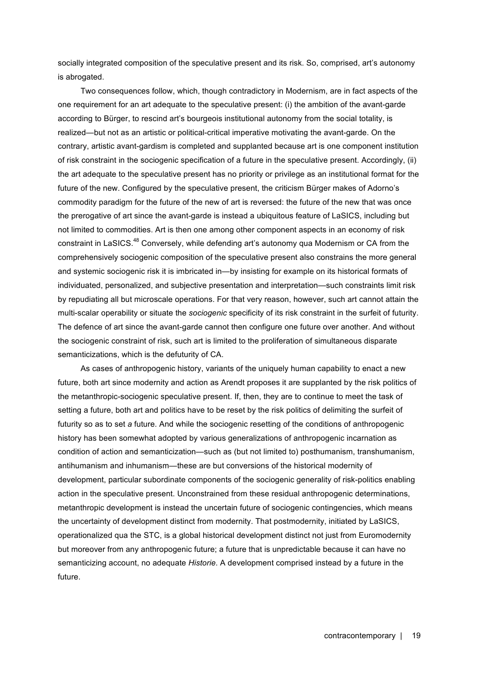socially integrated composition of the speculative present and its risk. So, comprised, art's autonomy is abrogated.

Two consequences follow, which, though contradictory in Modernism, are in fact aspects of the one requirement for an art adequate to the speculative present: (i) the ambition of the avant-garde according to Bürger, to rescind art's bourgeois institutional autonomy from the social totality, is realized—but not as an artistic or political-critical imperative motivating the avant-garde. On the contrary, artistic avant-gardism is completed and supplanted because art is one component institution of risk constraint in the sociogenic specification of a future in the speculative present. Accordingly, (ii) the art adequate to the speculative present has no priority or privilege as an institutional format for the future of the new. Configured by the speculative present, the criticism Bürger makes of Adorno's commodity paradigm for the future of the new of art is reversed: the future of the new that was once the prerogative of art since the avant-garde is instead a ubiquitous feature of LaSICS, including but not limited to commodities. Art is then one among other component aspects in an economy of risk constraint in LaSICS.<sup>48</sup> Conversely, while defending art's autonomy qua Modernism or CA from the comprehensively sociogenic composition of the speculative present also constrains the more general and systemic sociogenic risk it is imbricated in—by insisting for example on its historical formats of individuated, personalized, and subjective presentation and interpretation—such constraints limit risk by repudiating all but microscale operations. For that very reason, however, such art cannot attain the multi-scalar operability or situate the *sociogenic* specificity of its risk constraint in the surfeit of futurity. The defence of art since the avant-garde cannot then configure one future over another. And without the sociogenic constraint of risk, such art is limited to the proliferation of simultaneous disparate semanticizations, which is the defuturity of CA.

As cases of anthropogenic history, variants of the uniquely human capability to enact a new future, both art since modernity and action as Arendt proposes it are supplanted by the risk politics of the metanthropic-sociogenic speculative present. If, then, they are to continue to meet the task of setting a future, both art and politics have to be reset by the risk politics of delimiting the surfeit of futurity so as to set *a* future. And while the sociogenic resetting of the conditions of anthropogenic history has been somewhat adopted by various generalizations of anthropogenic incarnation as condition of action and semanticization—such as (but not limited to) posthumanism, transhumanism, antihumanism and inhumanism—these are but conversions of the historical modernity of development, particular subordinate components of the sociogenic generality of risk-politics enabling action in the speculative present. Unconstrained from these residual anthropogenic determinations, metanthropic development is instead the uncertain future of sociogenic contingencies, which means the uncertainty of development distinct from modernity. That postmodernity, initiated by LaSICS, operationalized qua the STC, is a global historical development distinct not just from Euromodernity but moreover from any anthropogenic future; a future that is unpredictable because it can have no semanticizing account, no adequate *Historie*. A development comprised instead by a future in the future.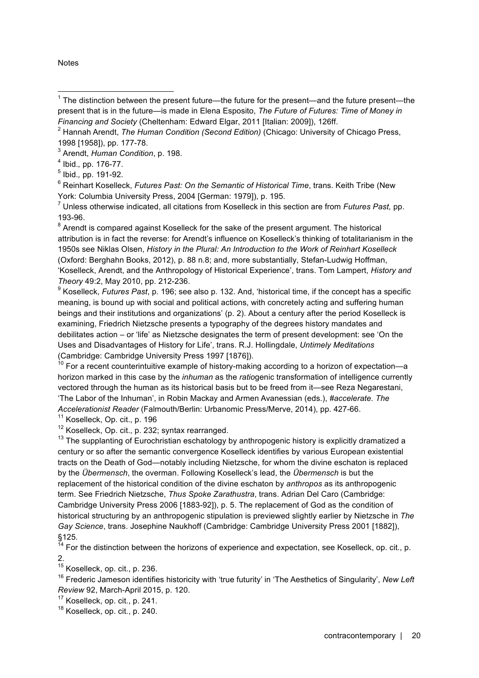**Notes** 

<sup>6</sup> Reinhart Koselleck, *Futures Past: On the Semantic of Historical Time*, trans. Keith Tribe (New York: Columbia University Press, 2004 [German: 1979]), p. 195.

<sup>7</sup> Unless otherwise indicated, all citations from Koselleck in this section are from *Futures Past,* pp. 193-96.

 $8$  Arendt is compared against Koselleck for the sake of the present argument. The historical attribution is in fact the reverse: for Arendt's influence on Koselleck's thinking of totalitarianism in the 1950s see Niklas Olsen, *History in the Plural: An Introduction to the Work of Reinhart Koselleck* (Oxford: Berghahn Books, 2012), p. 88 n.8; and, more substantially, Stefan-Ludwig Hoffman, 'Koselleck, Arendt, and the Anthropology of Historical Experience', trans. Tom Lampert, *History and Theory* 49:2, May 2010, pp. 212-236.

<sup>9</sup> Koselleck, *Futures Past*, p. 196; see also p. 132. And, 'historical time, if the concept has a specific meaning, is bound up with social and political actions, with concretely acting and suffering human beings and their institutions and organizations' (p. 2). About a century after the period Koselleck is examining, Friedrich Nietzsche presents a typography of the degrees history mandates and debilitates action – or 'life' as Nietzsche designates the term of present development: see 'On the Uses and Disadvantages of History for Life', trans. R.J. Hollingdale, *Untimely Meditations* (Cambridge: Cambridge University Press 1997 [1876]).

 $10$  For a recent counterintuitive example of history-making according to a horizon of expectation-a horizon marked in this case by the *inhuman* as the *ratio*genic transformation of intelligence currently vectored through the human as its historical basis but to be freed from it—see Reza Negarestani, 'The Labor of the Inhuman', in Robin Mackay and Armen Avanessian (eds.), *#accelerate. The Accelerationist Reader* (Falmouth/Berlin: Urbanomic Press/Merve, 2014), pp. 427-66.

<sup>11</sup> Koselleck, Op. cit., p. 196

<sup>12</sup> Koselleck, Op. cit., p. 232; syntax rearranged.

 $13$  The supplanting of Eurochristian eschatology by anthropogenic history is explicitly dramatized a century or so after the semantic convergence Koselleck identifies by various European existential tracts on the Death of God—notably including Nietzsche, for whom the divine eschaton is replaced by the *Übermensch*, the overman. Following Koselleck's lead, the *Übermensch* is but the replacement of the historical condition of the divine eschaton by *anthropos* as its anthropogenic term. See Friedrich Nietzsche, *Thus Spoke Zarathustra*, trans. Adrian Del Caro (Cambridge: Cambridge University Press 2006 [1883-92]), p. 5. The replacement of God as the condition of historical structuring by an anthropogenic stipulation is previewed slightly earlier by Nietzsche in *The Gay Science*, trans. Josephine Naukhoff (Cambridge: Cambridge University Press 2001 [1882]), §125.

<sup>14</sup> For the distinction between the horizons of experience and expectation, see Koselleck, op. cit., p. 2.

<sup>15</sup> Koselleck, op. cit*.*, p. 236.

<sup>16</sup> Frederic Jameson identifies historicity with 'true futurity' in 'The Aesthetics of Singularity', *New Left Review* 92, March-April 2015, p. 120.

<sup>17</sup> Koselleck, op. cit*.*, p. 241.

<sup>18</sup> Koselleck, op. cit*.*, p. 240.

 $1$  The distinction between the present future—the future for the present—and the future present—the present that is in the future—is made in Elena Esposito, *The Future of Futures: Time of Money in Financing and Society* (Cheltenham: Edward Elgar, 2011 [Italian: 2009]), 126ff. l

<sup>&</sup>lt;sup>2</sup> Hannah Arendt, *The Human Condition (Second Edition)* (Chicago: University of Chicago Press, 1998 [1958]), pp. 177-78.

<sup>3</sup> Arendt, *Human Condition*, p. 198.

<sup>4</sup> Ibid.*,* pp. 176-77.

<sup>5</sup> Ibid.*,* pp. 191-92.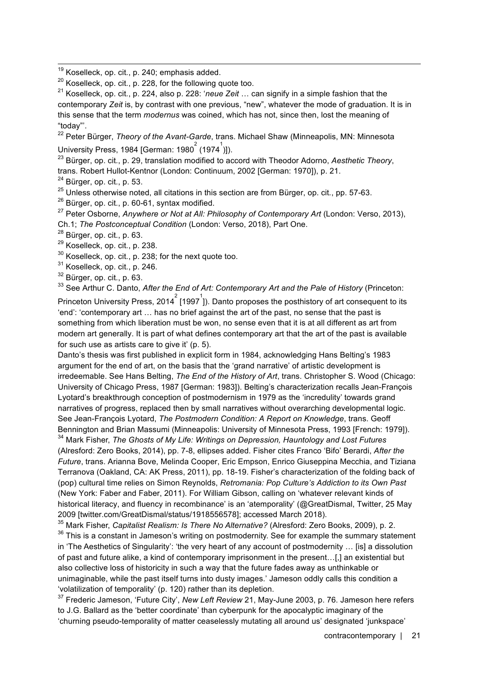<sup>21</sup> Koselleck, op. cit*.*, p. 224, also p. 228: '*neue Zeit* … can signify in a simple fashion that the contemporary *Zeit* is, by contrast with one previous, "new", whatever the mode of graduation. It is in this sense that the term *modernus* was coined, which has not, since then, lost the meaning of "today"'.

<sup>22</sup> Peter Bürger, *Theory of the Avant-Garde*, trans. Michael Shaw (Minneapolis, MN: Minnesota University Press, 1984 [German: 1980 $^{2}$  (1974 $^{1}$ )]).

<sup>23</sup> Bürger, op. cit*.*, p. 29, translation modified to accord with Theodor Adorno, *Aesthetic Theory*, trans. Robert Hullot-Kentnor (London: Continuum, 2002 [German: 1970]), p. 21.

<sup>24</sup> Bürger, op. cit*.*, p. 53.

<sup>25</sup> Unless otherwise noted, all citations in this section are from Bürger, op. cit*.*, pp. 57-63.

<sup>26</sup> Bürger, op. cit*.*, p. 60-61, syntax modified.

<sup>27</sup> Peter Osborne, *Anywhere or Not at All: Philosophy of Contemporary Art* (London: Verso, 2013), Ch.1; *The Postconceptual Condition* (London: Verso, 2018), Part One.

<sup>28</sup> Bürger, op. cit*.*, p. 63.

<sup>29</sup> Koselleck, op. cit*.*, p. 238.

<sup>30</sup> Koselleck, op. cit*.*, p. 238; for the next quote too.

<sup>31</sup> Koselleck, op. cit*.*, p. 246.

<sup>32</sup> Bürger, op. cit*.*, p. 63.

<sup>33</sup> See Arthur C. Danto, *After the End of Art: Contemporary Art and the Pale of History (Princeton:* 

Princeton University Press, 2014<sup>2</sup> [1997<sup>1</sup>]). Danto proposes the posthistory of art consequent to its 'end': 'contemporary art … has no brief against the art of the past, no sense that the past is something from which liberation must be won, no sense even that it is at all different as art from modern art generally. It is part of what defines contemporary art that the art of the past is available for such use as artists care to give it' (p. 5).

Danto's thesis was first published in explicit form in 1984, acknowledging Hans Belting's 1983 argument for the end of art, on the basis that the 'grand narrative' of artistic development is irredeemable. See Hans Belting, *The End of the History of Art*, trans. Christopher S. Wood (Chicago: University of Chicago Press, 1987 [German: 1983]). Belting's characterization recalls Jean-François Lyotard's breakthrough conception of postmodernism in 1979 as the 'incredulity' towards grand narratives of progress, replaced then by small narratives without overarching developmental logic. See Jean-François Lyotard, *The Postmodern Condition: A Report on Knowledge*, trans. Geoff Bennington and Brian Massumi (Minneapolis: University of Minnesota Press, 1993 [French: 1979]).

<sup>34</sup> Mark Fisher, *The Ghosts of My Life: Writings on Depression, Hauntology and Lost Futures* (Alresford: Zero Books, 2014), pp. 7-8, ellipses added. Fisher cites Franco 'Bifo' Berardi, *After the Future*, trans. Arianna Bove, Melinda Cooper, Eric Empson, Enrico Giuseppina Mecchia, and Tiziana Terranova (Oakland, CA: AK Press, 2011), pp. 18-19. Fisher's characterization of the folding back of (pop) cultural time relies on Simon Reynolds, *Retromania: Pop Culture's Addiction to its Own Past* (New York: Faber and Faber, 2011). For William Gibson, calling on 'whatever relevant kinds of historical literacy, and fluency in recombinance' is an 'atemporality' (@GreatDismal, Twitter, 25 May 2009 [twitter.com/GreatDismal/status/1918556578]; accessed March 2018).

<sup>35</sup> Mark Fisher, *Capitalist Realism: Is There No Alternative?* (Alresford: Zero Books, 2009), p. 2.

 $36$  This is a constant in Jameson's writing on postmodernity. See for example the summary statement in 'The Aesthetics of Singularity': 'the very heart of any account of postmodernity … [is] a dissolution of past and future alike, a kind of contemporary imprisonment in the present…[,] an existential but also collective loss of historicity in such a way that the future fades away as unthinkable or unimaginable, while the past itself turns into dusty images.' Jameson oddly calls this condition a 'volatilization of temporality' (p. 120) rather than its depletion.

<sup>37</sup> Frederic Jameson, 'Future City', *New Left Review* 21, May-June 2003, p. 76. Jameson here refers to J.G. Ballard as the 'better coordinate' than cyberpunk for the apocalyptic imaginary of the 'churning pseudo-temporality of matter ceaselessly mutating all around us' designated 'junkspace'

 <sup>19</sup> Koselleck, op. cit*.*, p. 240; emphasis added.

<sup>20</sup> Koselleck, op. cit*.*, p. 228, for the following quote too.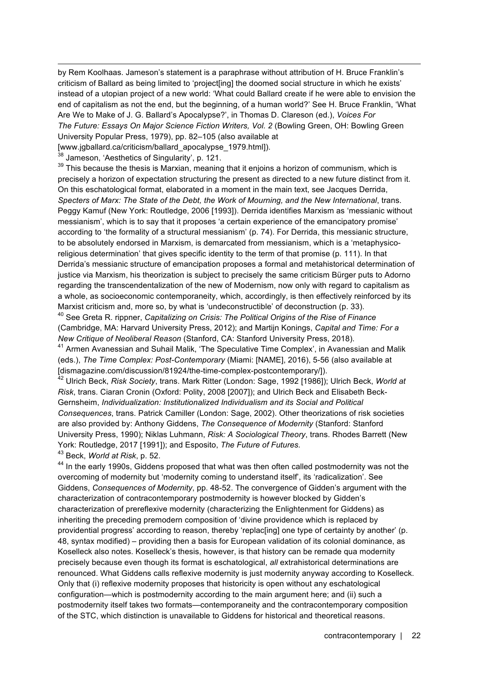by Rem Koolhaas. Jameson's statement is a paraphrase without attribution of H. Bruce Franklin's criticism of Ballard as being limited to 'project[ing] the doomed social structure in which he exists' instead of a utopian project of a new world: 'What could Ballard create if he were able to envision the end of capitalism as not the end, but the beginning, of a human world?' See H. Bruce Franklin, 'What Are We to Make of J. G. Ballard's Apocalypse?', in Thomas D. Clareson (ed.), *Voices For The Future: Essays On Major Science Fiction Writers, Vol. 2* (Bowling Green, OH: Bowling Green University Popular Press, 1979), pp. 82–105 (also available at

[www.jqballard.ca/criticism/ballard\_apocalypse\_1979.html]).

 $38$  Jameson, 'Aesthetics of Singularity', p. 121.

-

 $39$  This because the thesis is Marxian, meaning that it enjoins a horizon of communism, which is precisely a horizon of expectation structuring the present as directed to a new future distinct from it. On this eschatological format, elaborated in a moment in the main text, see Jacques Derrida, *Specters of Marx: The State of the Debt, the Work of Mourning, and the New International*, trans. Peggy Kamuf (New York: Routledge, 2006 [1993]). Derrida identifies Marxism as 'messianic without messianism', which is to say that it proposes 'a certain experience of the emancipatory promise' according to 'the formality of a structural messianism' (p. 74). For Derrida, this messianic structure, to be absolutely endorsed in Marxism, is demarcated from messianism, which is a 'metaphysicoreligious determination' that gives specific identity to the term of that promise (p. 111). In that Derrida's messianic structure of emancipation proposes a formal and metahistorical determination of justice via Marxism, his theorization is subject to precisely the same criticism Bürger puts to Adorno regarding the transcendentalization of the new of Modernism, now only with regard to capitalism as a whole, as socioeconomic contemporaneity, which, accordingly, is then effectively reinforced by its Marxist criticism and, more so, by what is 'undeconstructible' of deconstruction (p. 33).

<sup>40</sup> See Greta R. rippner, *Capitalizing on Crisis: The Political Origins of the Rise of Finance*  (Cambridge, MA: Harvard University Press, 2012); and Martijn Konings, *Capital and Time: For a New Critique of Neoliberal Reason* (Stanford, CA: Stanford University Press, 2018).

<sup>41</sup> Armen Avanessian and Suhail Malik, 'The Speculative Time Complex', in Avanessian and Malik (eds.), *The Time Complex: Post-Contemporary* (Miami: [NAME], 2016), 5-56 (also available at [dismagazine.com/discussion/81924/the-time-complex-postcontemporary/]).

<sup>42</sup> Ulrich Beck, *Risk Society*, trans. Mark Ritter (London: Sage, 1992 [1986]); Ulrich Beck, *World at Risk*, trans. Ciaran Cronin (Oxford: Polity, 2008 [2007]); and Ulrich Beck and Elisabeth Beck-Gernsheim, *Individualization: Institutionalized Individualism and its Social and Political Consequences*, trans. Patrick Camiller (London: Sage, 2002). Other theorizations of risk societies are also provided by: Anthony Giddens, *The Consequence of Modernity* (Stanford: Stanford University Press, 1990); Niklas Luhmann, *Risk: A Sociological Theory*, trans. Rhodes Barrett (New York: Routledge, 2017 [1991]); and Esposito, *The Future of Futures.*

<sup>43</sup> Beck, *World at Risk*, p. 52.

<sup>44</sup> In the early 1990s. Giddens proposed that what was then often called postmodernity was not the overcoming of modernity but 'modernity coming to understand itself', its 'radicalization'. See Giddens, *Consequences of Modernity*, pp. 48-52. The convergence of Gidden's argument with the characterization of contracontemporary postmodernity is however blocked by Gidden's characterization of prereflexive modernity (characterizing the Enlightenment for Giddens) as inheriting the preceding premodern composition of 'divine providence which is replaced by providential progress' according to reason, thereby 'replac[ing] one type of certainty by another' (p. 48, syntax modified) – providing then a basis for European validation of its colonial dominance, as Koselleck also notes. Koselleck's thesis, however, is that history can be remade qua modernity precisely because even though its format is eschatological, *all* extrahistorical determinations are renounced. What Giddens calls reflexive modernity is just modernity anyway according to Koselleck. Only that (i) reflexive modernity proposes that historicity is open without any eschatological configuration—which is postmodernity according to the main argument here; and (ii) such a postmodernity itself takes two formats—contemporaneity and the contracontemporary composition of the STC, which distinction is unavailable to Giddens for historical and theoretical reasons.